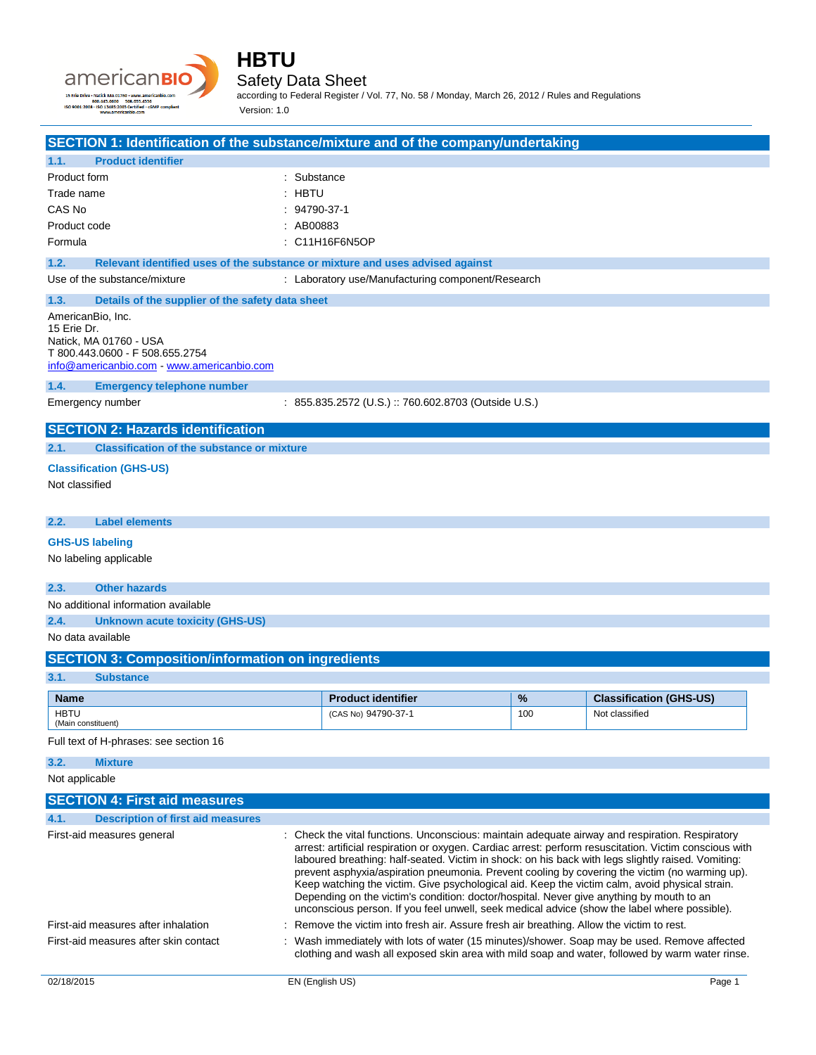

| SECTION 1: Identification of the substance/mixture and of the company/undertaking                                                                                                                                                                                                                                                                                                                                                                                                                                                                                                                                                                                                                                                             |                                                                               |     |                                |
|-----------------------------------------------------------------------------------------------------------------------------------------------------------------------------------------------------------------------------------------------------------------------------------------------------------------------------------------------------------------------------------------------------------------------------------------------------------------------------------------------------------------------------------------------------------------------------------------------------------------------------------------------------------------------------------------------------------------------------------------------|-------------------------------------------------------------------------------|-----|--------------------------------|
| <b>Product identifier</b><br>1.1.                                                                                                                                                                                                                                                                                                                                                                                                                                                                                                                                                                                                                                                                                                             |                                                                               |     |                                |
| Product form                                                                                                                                                                                                                                                                                                                                                                                                                                                                                                                                                                                                                                                                                                                                  | : Substance                                                                   |     |                                |
| Trade name                                                                                                                                                                                                                                                                                                                                                                                                                                                                                                                                                                                                                                                                                                                                    | : HBTU                                                                        |     |                                |
| CAS No                                                                                                                                                                                                                                                                                                                                                                                                                                                                                                                                                                                                                                                                                                                                        | $: 94790-37-1$                                                                |     |                                |
| Product code                                                                                                                                                                                                                                                                                                                                                                                                                                                                                                                                                                                                                                                                                                                                  | : AB00883                                                                     |     |                                |
| Formula                                                                                                                                                                                                                                                                                                                                                                                                                                                                                                                                                                                                                                                                                                                                       | : C11H16F6N5OP                                                                |     |                                |
| 1.2.                                                                                                                                                                                                                                                                                                                                                                                                                                                                                                                                                                                                                                                                                                                                          | Relevant identified uses of the substance or mixture and uses advised against |     |                                |
| Use of the substance/mixture                                                                                                                                                                                                                                                                                                                                                                                                                                                                                                                                                                                                                                                                                                                  | : Laboratory use/Manufacturing component/Research                             |     |                                |
| 1.3.<br>Details of the supplier of the safety data sheet                                                                                                                                                                                                                                                                                                                                                                                                                                                                                                                                                                                                                                                                                      |                                                                               |     |                                |
| AmericanBio, Inc.<br>15 Erie Dr.<br>Natick, MA 01760 - USA<br>T 800.443.0600 - F 508.655.2754<br>info@americanbio.com www.americanbio.com                                                                                                                                                                                                                                                                                                                                                                                                                                                                                                                                                                                                     |                                                                               |     |                                |
| 1.4.<br><b>Emergency telephone number</b>                                                                                                                                                                                                                                                                                                                                                                                                                                                                                                                                                                                                                                                                                                     |                                                                               |     |                                |
| Emergency number                                                                                                                                                                                                                                                                                                                                                                                                                                                                                                                                                                                                                                                                                                                              | : 855.835.2572 (U.S.) :: 760.602.8703 (Outside U.S.)                          |     |                                |
| <b>SECTION 2: Hazards identification</b>                                                                                                                                                                                                                                                                                                                                                                                                                                                                                                                                                                                                                                                                                                      |                                                                               |     |                                |
| <b>Classification of the substance or mixture</b><br>2.1.                                                                                                                                                                                                                                                                                                                                                                                                                                                                                                                                                                                                                                                                                     |                                                                               |     |                                |
| <b>Classification (GHS-US)</b>                                                                                                                                                                                                                                                                                                                                                                                                                                                                                                                                                                                                                                                                                                                |                                                                               |     |                                |
| Not classified                                                                                                                                                                                                                                                                                                                                                                                                                                                                                                                                                                                                                                                                                                                                |                                                                               |     |                                |
| 2.2.<br><b>Label elements</b>                                                                                                                                                                                                                                                                                                                                                                                                                                                                                                                                                                                                                                                                                                                 |                                                                               |     |                                |
| <b>GHS-US labeling</b>                                                                                                                                                                                                                                                                                                                                                                                                                                                                                                                                                                                                                                                                                                                        |                                                                               |     |                                |
| No labeling applicable                                                                                                                                                                                                                                                                                                                                                                                                                                                                                                                                                                                                                                                                                                                        |                                                                               |     |                                |
| <b>Other hazards</b><br>2.3.                                                                                                                                                                                                                                                                                                                                                                                                                                                                                                                                                                                                                                                                                                                  |                                                                               |     |                                |
| No additional information available                                                                                                                                                                                                                                                                                                                                                                                                                                                                                                                                                                                                                                                                                                           |                                                                               |     |                                |
| 2.4.<br><b>Unknown acute toxicity (GHS-US)</b>                                                                                                                                                                                                                                                                                                                                                                                                                                                                                                                                                                                                                                                                                                |                                                                               |     |                                |
| No data available                                                                                                                                                                                                                                                                                                                                                                                                                                                                                                                                                                                                                                                                                                                             |                                                                               |     |                                |
| <b>SECTION 3: Composition/information on ingredients</b>                                                                                                                                                                                                                                                                                                                                                                                                                                                                                                                                                                                                                                                                                      |                                                                               |     |                                |
| 3.1.<br><b>Substance</b>                                                                                                                                                                                                                                                                                                                                                                                                                                                                                                                                                                                                                                                                                                                      |                                                                               |     |                                |
| <b>Name</b>                                                                                                                                                                                                                                                                                                                                                                                                                                                                                                                                                                                                                                                                                                                                   | <b>Product identifier</b>                                                     | %   | <b>Classification (GHS-US)</b> |
| <b>HBTU</b><br>(Main constituent)                                                                                                                                                                                                                                                                                                                                                                                                                                                                                                                                                                                                                                                                                                             | (CAS No) 94790-37-1                                                           | 100 | Not classified                 |
| Full text of H-phrases: see section 16                                                                                                                                                                                                                                                                                                                                                                                                                                                                                                                                                                                                                                                                                                        |                                                                               |     |                                |
| 3.2.<br><b>Mixture</b>                                                                                                                                                                                                                                                                                                                                                                                                                                                                                                                                                                                                                                                                                                                        |                                                                               |     |                                |
| Not applicable                                                                                                                                                                                                                                                                                                                                                                                                                                                                                                                                                                                                                                                                                                                                |                                                                               |     |                                |
| <b>SECTION 4: First aid measures</b>                                                                                                                                                                                                                                                                                                                                                                                                                                                                                                                                                                                                                                                                                                          |                                                                               |     |                                |
| 4.1.<br><b>Description of first aid measures</b>                                                                                                                                                                                                                                                                                                                                                                                                                                                                                                                                                                                                                                                                                              |                                                                               |     |                                |
| First-aid measures general<br>: Check the vital functions. Unconscious: maintain adequate airway and respiration. Respiratory<br>arrest: artificial respiration or oxygen. Cardiac arrest: perform resuscitation. Victim conscious with<br>laboured breathing: half-seated. Victim in shock: on his back with legs slightly raised. Vomiting:<br>prevent asphyxia/aspiration pneumonia. Prevent cooling by covering the victim (no warming up).<br>Keep watching the victim. Give psychological aid. Keep the victim calm, avoid physical strain.<br>Depending on the victim's condition: doctor/hospital. Never give anything by mouth to an<br>unconscious person. If you feel unwell, seek medical advice (show the label where possible). |                                                                               |     |                                |

First-aid measures after inhalation : Remove the victim into fresh air. Assure fresh air breathing. Allow the victim to rest.

### First-aid measures after skin contact : Wash immediately with lots of water (15 minutes)/shower. Soap may be used. Remove affected clothing and wash all exposed skin area with mild soap and water, followed by warm water rinse.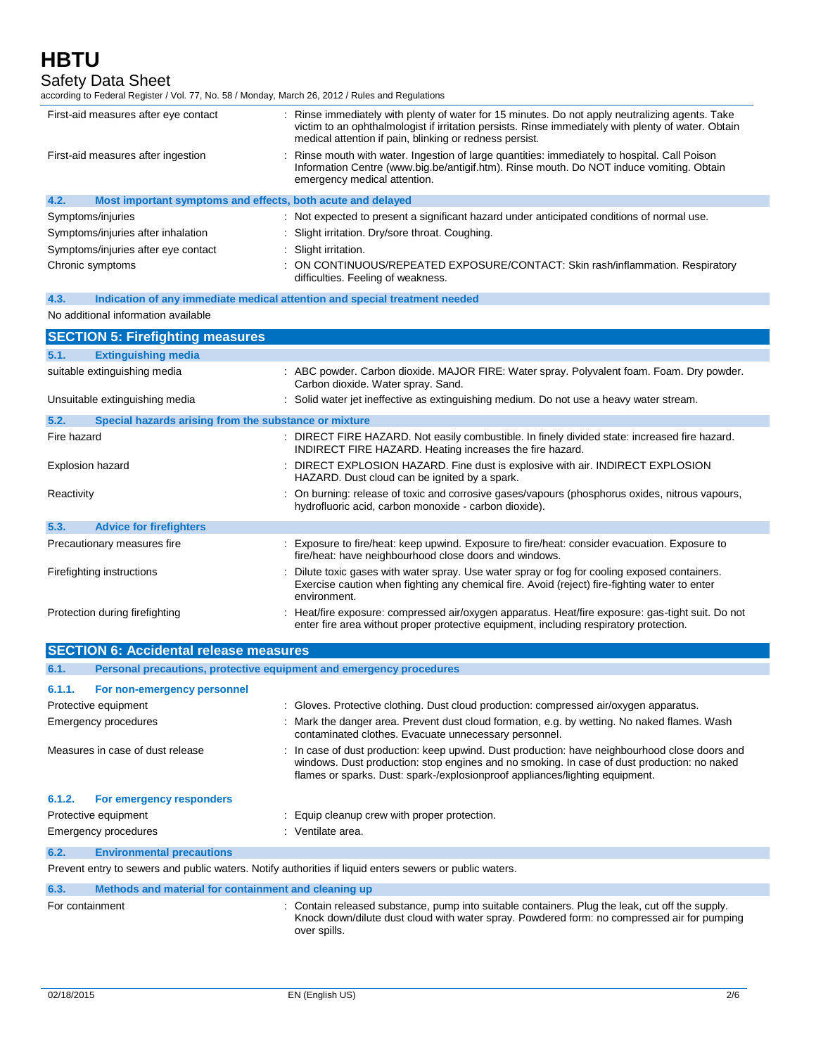# Safety Data Sheet

| according to Federal Register / Vol. 77, No. 58 / Monday, March 26, 2012 / Rules and Regulations |                                                                                                                                                                                                                                                                   |  |
|--------------------------------------------------------------------------------------------------|-------------------------------------------------------------------------------------------------------------------------------------------------------------------------------------------------------------------------------------------------------------------|--|
| First-aid measures after eye contact                                                             | : Rinse immediately with plenty of water for 15 minutes. Do not apply neutralizing agents. Take<br>victim to an ophthalmologist if irritation persists. Rinse immediately with plenty of water. Obtain<br>medical attention if pain, blinking or redness persist. |  |
| First-aid measures after ingestion                                                               | Rinse mouth with water. Ingestion of large quantities: immediately to hospital. Call Poison<br>Information Centre (www.big.be/antigif.htm). Rinse mouth. Do NOT induce vomiting. Obtain<br>emergency medical attention.                                           |  |
| 4.2.<br>Most important symptoms and effects, both acute and delayed                              |                                                                                                                                                                                                                                                                   |  |
| Symptoms/injuries                                                                                | : Not expected to present a significant hazard under anticipated conditions of normal use.                                                                                                                                                                        |  |
| Symptoms/injuries after inhalation                                                               | : Slight irritation. Dry/sore throat. Coughing.                                                                                                                                                                                                                   |  |
| Symptoms/injuries after eye contact                                                              | : Slight irritation.                                                                                                                                                                                                                                              |  |
| Chronic symptoms                                                                                 | ON CONTINUOUS/REPEATED EXPOSURE/CONTACT: Skin rash/inflammation. Respiratory<br>difficulties. Feeling of weakness.                                                                                                                                                |  |
| 4.3.                                                                                             | Indication of any immediate medical attention and special treatment needed                                                                                                                                                                                        |  |
| No additional information available                                                              |                                                                                                                                                                                                                                                                   |  |
| <b>SECTION 5: Firefighting measures</b>                                                          |                                                                                                                                                                                                                                                                   |  |
| 5.1.<br><b>Extinguishing media</b>                                                               |                                                                                                                                                                                                                                                                   |  |
| suitable extinguishing media                                                                     | : ABC powder. Carbon dioxide. MAJOR FIRE: Water spray. Polyvalent foam. Foam. Dry powder.<br>Carbon dioxide. Water spray. Sand.                                                                                                                                   |  |
| Unsuitable extinguishing media                                                                   | : Solid water jet ineffective as extinguishing medium. Do not use a heavy water stream.                                                                                                                                                                           |  |
| 5.2.<br>Special hazards arising from the substance or mixture                                    |                                                                                                                                                                                                                                                                   |  |
| Fire hazard                                                                                      | : DIRECT FIRE HAZARD. Not easily combustible. In finely divided state: increased fire hazard.                                                                                                                                                                     |  |
|                                                                                                  | INDIRECT FIRE HAZARD. Heating increases the fire hazard.                                                                                                                                                                                                          |  |
| Explosion hazard                                                                                 | DIRECT EXPLOSION HAZARD. Fine dust is explosive with air. INDIRECT EXPLOSION<br>HAZARD. Dust cloud can be ignited by a spark.                                                                                                                                     |  |
| Reactivity                                                                                       | : On burning: release of toxic and corrosive gases/vapours (phosphorus oxides, nitrous vapours,<br>hydrofluoric acid, carbon monoxide - carbon dioxide).                                                                                                          |  |
| 5.3.<br><b>Advice for firefighters</b>                                                           |                                                                                                                                                                                                                                                                   |  |
| Precautionary measures fire                                                                      | : Exposure to fire/heat: keep upwind. Exposure to fire/heat: consider evacuation. Exposure to<br>fire/heat: have neighbourhood close doors and windows.                                                                                                           |  |
| Firefighting instructions                                                                        | : Dilute toxic gases with water spray. Use water spray or fog for cooling exposed containers.<br>Exercise caution when fighting any chemical fire. Avoid (reject) fire-fighting water to enter<br>environment.                                                    |  |
| Protection during firefighting                                                                   | : Heat/fire exposure: compressed air/oxygen apparatus. Heat/fire exposure: gas-tight suit. Do not<br>enter fire area without proper protective equipment, including respiratory protection.                                                                       |  |
| <b>SECTION 6: Accidental release measures</b>                                                    |                                                                                                                                                                                                                                                                   |  |
|                                                                                                  |                                                                                                                                                                                                                                                                   |  |
| 6.1.<br>Personal precautions, protective equipment and emergency procedures                      |                                                                                                                                                                                                                                                                   |  |
| 6.1.1.                                                                                           |                                                                                                                                                                                                                                                                   |  |
| For non-emergency personnel                                                                      |                                                                                                                                                                                                                                                                   |  |
| Protective equipment<br><b>Emergency procedures</b>                                              | : Gloves. Protective clothing. Dust cloud production: compressed air/oxygen apparatus.<br>Mark the danger area. Prevent dust cloud formation, e.g. by wetting. No naked flames. Wash                                                                              |  |

Measures in case of dust release : In case of dust production: keep upwind. Dust production: have neighbourhood close doors and

**6.1.2. For emergency responders** Protective equipment  $\qquad \qquad$ : Equip cleanup crew with proper protection.

Emergency procedures in the settlement of the Senate area. **6.2. Environmental precautions**

Prevent entry to sewers and public waters. Notify authorities if liquid enters sewers or public waters.

### **6.3. Methods and material for containment and cleaning up**

For containment **interest and the supply** contain released substance, pump into suitable containers. Plug the leak, cut off the supply. Knock down/dilute dust cloud with water spray. Powdered form: no compressed air for pumping over spills.

windows. Dust production: stop engines and no smoking. In case of dust production: no naked

flames or sparks. Dust: spark-/explosionproof appliances/lighting equipment.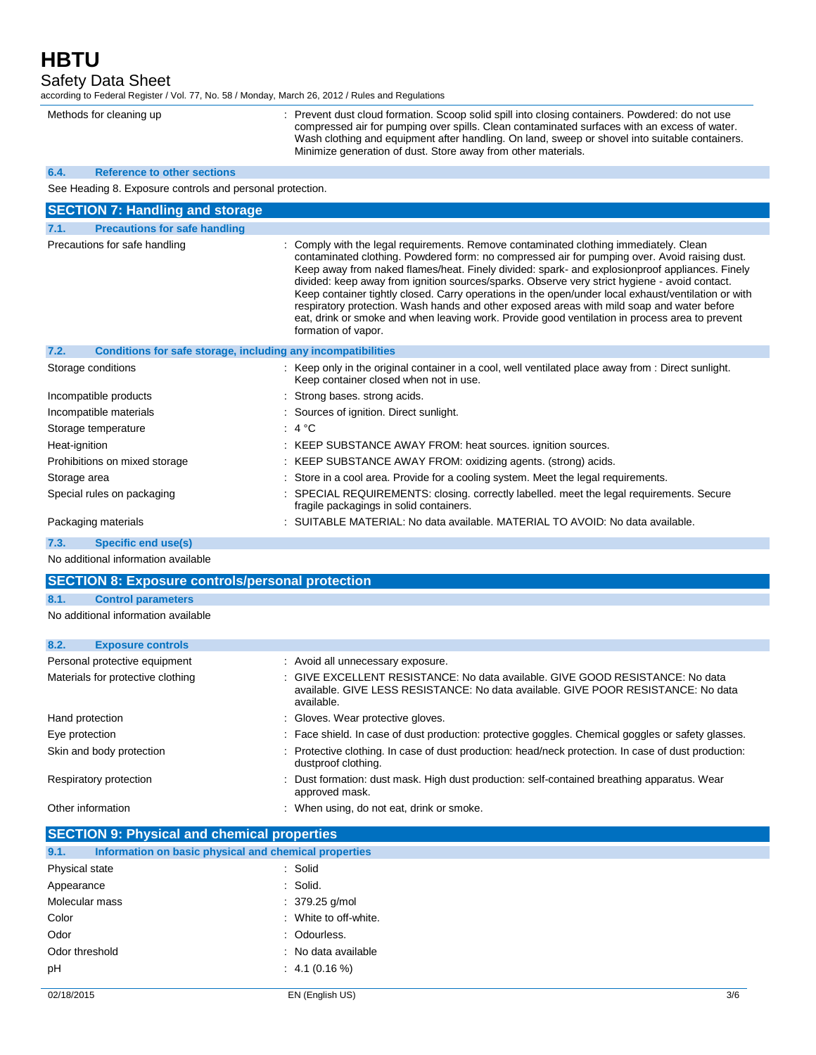Safety Data Sheet

according to Federal Register / Vol. 77, No. 58 / Monday, March 26, 2012 / Rules and Regulations

Methods for cleaning up : Prevent dust cloud formation. Scoop solid spill into closing containers. Powdered: do not use compressed air for pumping over spills. Clean contaminated surfaces with an excess of water. Wash clothing and equipment after handling. On land, sweep or shovel into suitable containers. Minimize generation of dust. Store away from other materials.

#### **6.4. Reference to other sections**

See Heading 8. Exposure controls and personal protection.

| <b>SECTION 7: Handling and storage</b>                               |                                                                                                                                                                                                                                                                                                                                                                                                                                                                                                                                                                                                                                                                                                                         |
|----------------------------------------------------------------------|-------------------------------------------------------------------------------------------------------------------------------------------------------------------------------------------------------------------------------------------------------------------------------------------------------------------------------------------------------------------------------------------------------------------------------------------------------------------------------------------------------------------------------------------------------------------------------------------------------------------------------------------------------------------------------------------------------------------------|
| 7.1.<br><b>Precautions for safe handling</b>                         |                                                                                                                                                                                                                                                                                                                                                                                                                                                                                                                                                                                                                                                                                                                         |
| Precautions for safe handling                                        | : Comply with the legal requirements. Remove contaminated clothing immediately. Clean<br>contaminated clothing. Powdered form: no compressed air for pumping over. Avoid raising dust.<br>Keep away from naked flames/heat. Finely divided: spark- and explosionproof appliances. Finely<br>divided: keep away from ignition sources/sparks. Observe very strict hygiene - avoid contact.<br>Keep container tightly closed. Carry operations in the open/under local exhaust/ventilation or with<br>respiratory protection. Wash hands and other exposed areas with mild soap and water before<br>eat, drink or smoke and when leaving work. Provide good ventilation in process area to prevent<br>formation of vapor. |
| 7.2.<br>Conditions for safe storage, including any incompatibilities |                                                                                                                                                                                                                                                                                                                                                                                                                                                                                                                                                                                                                                                                                                                         |
| Storage conditions                                                   | : Keep only in the original container in a cool, well ventilated place away from : Direct sunlight.<br>Keep container closed when not in use.                                                                                                                                                                                                                                                                                                                                                                                                                                                                                                                                                                           |
| Incompatible products                                                | : Strong bases, strong acids.                                                                                                                                                                                                                                                                                                                                                                                                                                                                                                                                                                                                                                                                                           |
| Incompatible materials                                               | : Sources of ignition. Direct sunlight.                                                                                                                                                                                                                                                                                                                                                                                                                                                                                                                                                                                                                                                                                 |
| Storage temperature                                                  | : 4 °C                                                                                                                                                                                                                                                                                                                                                                                                                                                                                                                                                                                                                                                                                                                  |
| Heat-ignition                                                        | : KEEP SUBSTANCE AWAY FROM: heat sources. ignition sources.                                                                                                                                                                                                                                                                                                                                                                                                                                                                                                                                                                                                                                                             |
| Prohibitions on mixed storage                                        | : KEEP SUBSTANCE AWAY FROM: oxidizing agents. (strong) acids.                                                                                                                                                                                                                                                                                                                                                                                                                                                                                                                                                                                                                                                           |
| Storage area                                                         | : Store in a cool area. Provide for a cooling system. Meet the legal requirements.                                                                                                                                                                                                                                                                                                                                                                                                                                                                                                                                                                                                                                      |
| Special rules on packaging                                           | : SPECIAL REQUIREMENTS: closing. correctly labelled. meet the legal requirements. Secure<br>fragile packagings in solid containers.                                                                                                                                                                                                                                                                                                                                                                                                                                                                                                                                                                                     |
| Packaging materials                                                  | : SUITABLE MATERIAL: No data available. MATERIAL TO AVOID: No data available.                                                                                                                                                                                                                                                                                                                                                                                                                                                                                                                                                                                                                                           |

**7.3. Specific end use(s)**

No additional information available

| <b>SECTION 8: Exposure controls/personal protection</b> |                                     |  |                                                                                                                                                                                  |
|---------------------------------------------------------|-------------------------------------|--|----------------------------------------------------------------------------------------------------------------------------------------------------------------------------------|
| 8.1.                                                    | <b>Control parameters</b>           |  |                                                                                                                                                                                  |
|                                                         | No additional information available |  |                                                                                                                                                                                  |
| 8.2.                                                    | <b>Exposure controls</b>            |  |                                                                                                                                                                                  |
|                                                         | Personal protective equipment       |  | : Avoid all unnecessary exposure.                                                                                                                                                |
|                                                         | Materials for protective clothing   |  | : GIVE EXCELLENT RESISTANCE: No data available. GIVE GOOD RESISTANCE: No data<br>available. GIVE LESS RESISTANCE: No data available. GIVE POOR RESISTANCE: No data<br>available. |
| Hand protection                                         |                                     |  | : Gloves. Wear protective gloves.                                                                                                                                                |
| Eye protection                                          |                                     |  | : Face shield. In case of dust production: protective goggles. Chemical goggles or safety glasses.                                                                               |
|                                                         | Skin and body protection            |  | : Protective clothing. In case of dust production: head/neck protection. In case of dust production:<br>dustproof clothing.                                                      |
|                                                         | Respiratory protection              |  | : Dust formation: dust mask. High dust production: self-contained breathing apparatus. Wear<br>approved mask.                                                                    |
| Other information                                       |                                     |  | : When using, do not eat, drink or smoke.                                                                                                                                        |

### **SECTION 9: Physical and chemical properties**

| 9.1.           | Information on basic physical and chemical properties |     |
|----------------|-------------------------------------------------------|-----|
| Physical state | : Solid                                               |     |
| Appearance     | : Solid.                                              |     |
| Molecular mass | $: 379.25$ g/mol                                      |     |
| Color          | : White to off-white.                                 |     |
| Odor           | : Odourless.                                          |     |
| Odor threshold | : No data available                                   |     |
| pH             | : 4.1(0.16%)                                          |     |
| 02/18/2015     | EN (English US)                                       | 3/6 |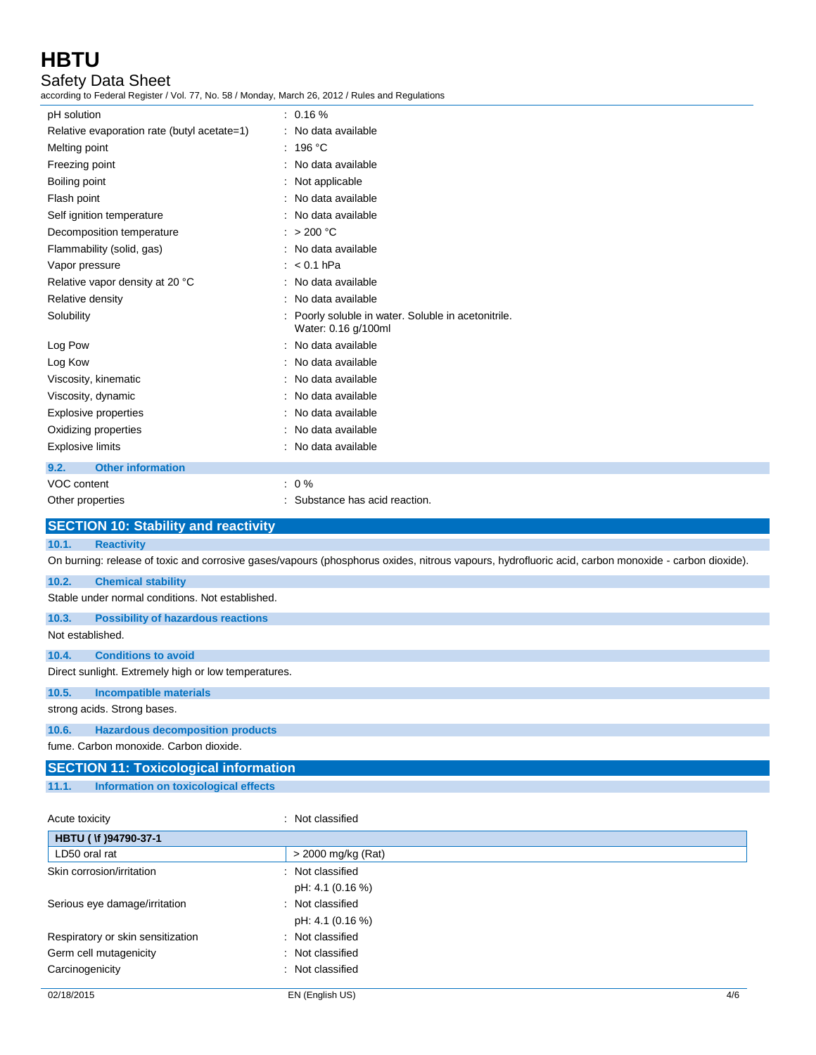Safety Data Sheet

according to Federal Register / Vol. 77, No. 58 / Monday, March 26, 2012 / Rules and Regulations

| pH solution                                      | $: 0.16 \%$                                                                                                                                         |
|--------------------------------------------------|-----------------------------------------------------------------------------------------------------------------------------------------------------|
| Relative evaporation rate (butyl acetate=1)      | : No data available                                                                                                                                 |
| Melting point                                    | : 196 °C                                                                                                                                            |
| Freezing point                                   | : No data available                                                                                                                                 |
| Boiling point                                    | : Not applicable                                                                                                                                    |
| Flash point                                      | : No data available                                                                                                                                 |
| Self ignition temperature                        | : No data available                                                                                                                                 |
| Decomposition temperature                        | : $> 200 °C$                                                                                                                                        |
| Flammability (solid, gas)                        | : No data available                                                                                                                                 |
| Vapor pressure                                   | $: < 0.1$ hPa                                                                                                                                       |
| Relative vapor density at 20 °C                  | : No data available                                                                                                                                 |
| Relative density                                 | : No data available                                                                                                                                 |
| Solubility                                       | : Poorly soluble in water. Soluble in acetonitrile.<br>Water: 0.16 g/100ml                                                                          |
| Log Pow                                          | : No data available                                                                                                                                 |
| Log Kow                                          | : No data available                                                                                                                                 |
| Viscosity, kinematic                             | : No data available                                                                                                                                 |
| Viscosity, dynamic                               | No data available                                                                                                                                   |
| <b>Explosive properties</b>                      | : No data available                                                                                                                                 |
| Oxidizing properties                             | : No data available                                                                                                                                 |
| <b>Explosive limits</b>                          | : No data available                                                                                                                                 |
| <b>Other information</b><br>9.2.                 |                                                                                                                                                     |
| VOC content                                      | $: 0 \%$                                                                                                                                            |
| Other properties                                 | : Substance has acid reaction.                                                                                                                      |
|                                                  |                                                                                                                                                     |
| <b>SECTION 10: Stability and reactivity</b>      |                                                                                                                                                     |
| 10.1.<br><b>Reactivity</b>                       |                                                                                                                                                     |
|                                                  | On burning: release of toxic and corrosive gases/vapours (phosphorus oxides, nitrous vapours, hydrofluoric acid, carbon monoxide - carbon dioxide). |
| 10.2.<br><b>Chemical stability</b>               |                                                                                                                                                     |
| Stable under normal conditions. Not established. |                                                                                                                                                     |

### **10.3. Possibility of hazardous reactions**

Not established.

### **10.4. Conditions to avoid**

Direct sunlight. Extremely high or low temperatures.

### **10.5. Incompatible materials**

strong acids. Strong bases.

### **10.6. Hazardous decomposition products**

fume. Carbon monoxide. Carbon dioxide.

## **SECTION 11: Toxicological information**

**11.1. Information on toxicological effects**

Acute toxicity in the contract of the classified in the classified in the classified in the classified in the classified in the classified in the classified in the classified in the classified in the classified in the clas **HBTU ( \f )94790-37-1** LD50 oral rat  $\vert$  > 2000 mg/kg (Rat) Skin corrosion/irritation : Not classified pH: 4.1 (0.16 %) Serious eye damage/irritation : Not classified pH: 4.1 (0.16 %) Respiratory or skin sensitization : Not classified Germ cell mutagenicity **in the case of the CES and CES control** : Not classified Carcinogenicity **Carcinogenicity** : Not classified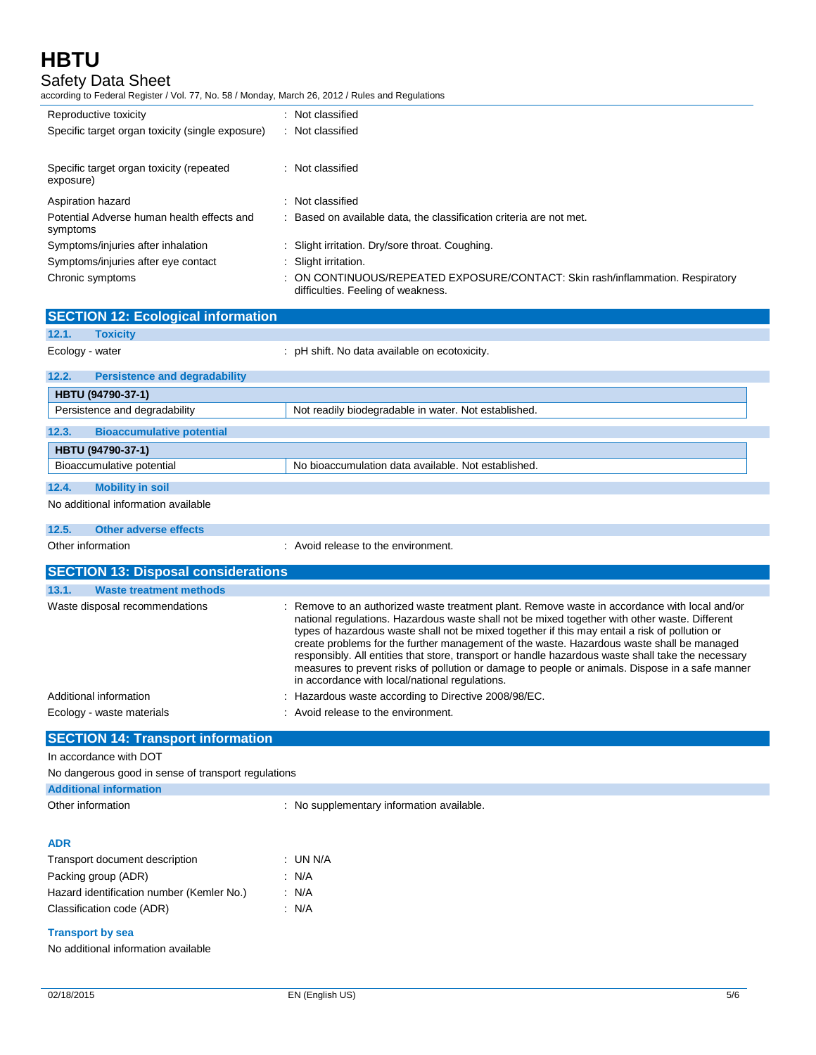# Safety Data Sheet

according to Federal Register / Vol. 77, No. 58 / Monday, March 26, 2012 / Rules and Regulations

| Reproductive toxicity                                  | : Not classified                                                                                                     |
|--------------------------------------------------------|----------------------------------------------------------------------------------------------------------------------|
| Specific target organ toxicity (single exposure)       | : Not classified                                                                                                     |
| Specific target organ toxicity (repeated               | : Not classified                                                                                                     |
| exposure)                                              |                                                                                                                      |
| Aspiration hazard                                      | : Not classified                                                                                                     |
| Potential Adverse human health effects and<br>symptoms | : Based on available data, the classification criteria are not met.                                                  |
| Symptoms/injuries after inhalation                     | : Slight irritation. Dry/sore throat. Coughing.                                                                      |
| Symptoms/injuries after eye contact                    | : Slight irritation.                                                                                                 |
| Chronic symptoms                                       | : ON CONTINUOUS/REPEATED EXPOSURE/CONTACT: Skin rash/inflammation. Respiratory<br>difficulties. Feeling of weakness. |

|                   | <b>SECTION 12: Ecological information</b>           |                                                                                                                                                                                                                                                                                                                                                                                                                                                                                                                                                                                                                                                          |
|-------------------|-----------------------------------------------------|----------------------------------------------------------------------------------------------------------------------------------------------------------------------------------------------------------------------------------------------------------------------------------------------------------------------------------------------------------------------------------------------------------------------------------------------------------------------------------------------------------------------------------------------------------------------------------------------------------------------------------------------------------|
| 12.1.             | <b>Toxicity</b>                                     |                                                                                                                                                                                                                                                                                                                                                                                                                                                                                                                                                                                                                                                          |
| Ecology - water   |                                                     | : pH shift. No data available on ecotoxicity.                                                                                                                                                                                                                                                                                                                                                                                                                                                                                                                                                                                                            |
| 12.2.             | <b>Persistence and degradability</b>                |                                                                                                                                                                                                                                                                                                                                                                                                                                                                                                                                                                                                                                                          |
|                   | HBTU (94790-37-1)                                   |                                                                                                                                                                                                                                                                                                                                                                                                                                                                                                                                                                                                                                                          |
|                   | Persistence and degradability                       | Not readily biodegradable in water. Not established.                                                                                                                                                                                                                                                                                                                                                                                                                                                                                                                                                                                                     |
| 12.3.             | <b>Bioaccumulative potential</b>                    |                                                                                                                                                                                                                                                                                                                                                                                                                                                                                                                                                                                                                                                          |
|                   | HBTU (94790-37-1)                                   |                                                                                                                                                                                                                                                                                                                                                                                                                                                                                                                                                                                                                                                          |
|                   | Bioaccumulative potential                           | No bioaccumulation data available. Not established.                                                                                                                                                                                                                                                                                                                                                                                                                                                                                                                                                                                                      |
| 12.4.             | <b>Mobility in soil</b>                             |                                                                                                                                                                                                                                                                                                                                                                                                                                                                                                                                                                                                                                                          |
|                   | No additional information available                 |                                                                                                                                                                                                                                                                                                                                                                                                                                                                                                                                                                                                                                                          |
| 12.5.             | <b>Other adverse effects</b>                        |                                                                                                                                                                                                                                                                                                                                                                                                                                                                                                                                                                                                                                                          |
| Other information |                                                     | : Avoid release to the environment.                                                                                                                                                                                                                                                                                                                                                                                                                                                                                                                                                                                                                      |
|                   | <b>SECTION 13: Disposal considerations</b>          |                                                                                                                                                                                                                                                                                                                                                                                                                                                                                                                                                                                                                                                          |
| 13.1.             | <b>Waste treatment methods</b>                      |                                                                                                                                                                                                                                                                                                                                                                                                                                                                                                                                                                                                                                                          |
|                   | Waste disposal recommendations                      | : Remove to an authorized waste treatment plant. Remove waste in accordance with local and/or<br>national regulations. Hazardous waste shall not be mixed together with other waste. Different<br>types of hazardous waste shall not be mixed together if this may entail a risk of pollution or<br>create problems for the further management of the waste. Hazardous waste shall be managed<br>responsibly. All entities that store, transport or handle hazardous waste shall take the necessary<br>measures to prevent risks of pollution or damage to people or animals. Dispose in a safe manner<br>in accordance with local/national regulations. |
|                   | Additional information                              | : Hazardous waste according to Directive 2008/98/EC.                                                                                                                                                                                                                                                                                                                                                                                                                                                                                                                                                                                                     |
|                   | Ecology - waste materials                           | $\therefore$ Avoid release to the environment.                                                                                                                                                                                                                                                                                                                                                                                                                                                                                                                                                                                                           |
|                   | <b>SECTION 14: Transport information</b>            |                                                                                                                                                                                                                                                                                                                                                                                                                                                                                                                                                                                                                                                          |
|                   | In accordance with DOT                              |                                                                                                                                                                                                                                                                                                                                                                                                                                                                                                                                                                                                                                                          |
|                   | No dangerous good in sense of transport regulations |                                                                                                                                                                                                                                                                                                                                                                                                                                                                                                                                                                                                                                                          |
|                   | <b>Additional information</b>                       |                                                                                                                                                                                                                                                                                                                                                                                                                                                                                                                                                                                                                                                          |
| Other information |                                                     | : No supplementary information available.                                                                                                                                                                                                                                                                                                                                                                                                                                                                                                                                                                                                                |
| ADR               |                                                     |                                                                                                                                                                                                                                                                                                                                                                                                                                                                                                                                                                                                                                                          |

| Transport document description            | : UN N/A |
|-------------------------------------------|----------|
| Packing group (ADR)                       | : N/A    |
| Hazard identification number (Kemler No.) | : N/A    |
| Classification code (ADR)                 | : N/A    |

## **Transport by sea**

No additional information available